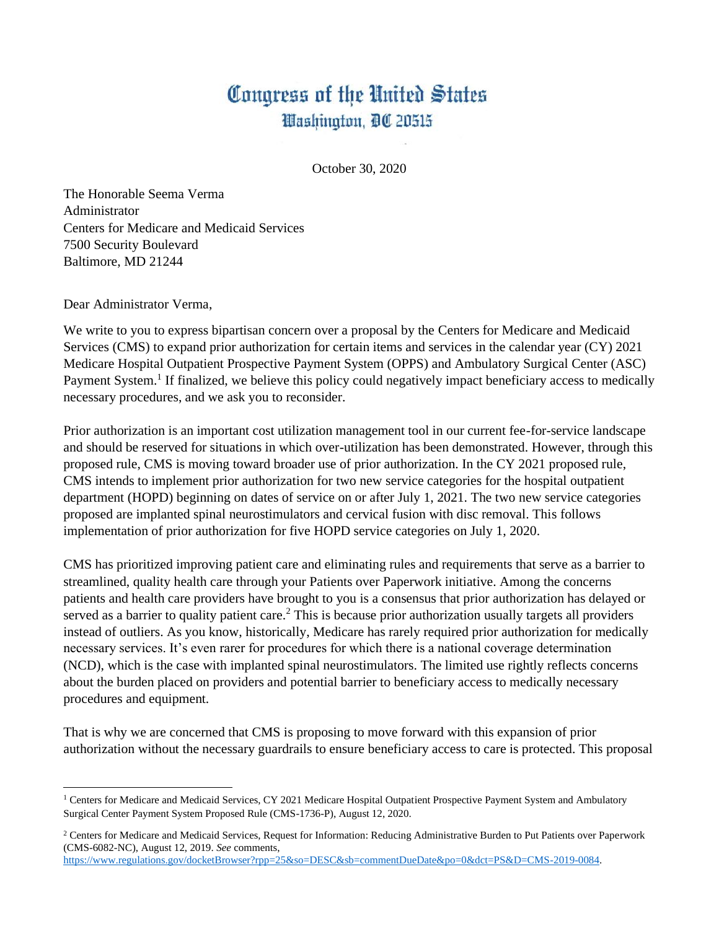## Congress of the United States Washington, DC 20515

October 30, 2020

The Honorable Seema Verma Administrator Centers for Medicare and Medicaid Services 7500 Security Boulevard Baltimore, MD 21244

Dear Administrator Verma,

We write to you to express bipartisan concern over a proposal by the Centers for Medicare and Medicaid Services (CMS) to expand prior authorization for certain items and services in the calendar year (CY) 2021 Medicare Hospital Outpatient Prospective Payment System (OPPS) and Ambulatory Surgical Center (ASC) Payment System.<sup>1</sup> If finalized, we believe this policy could negatively impact beneficiary access to medically necessary procedures, and we ask you to reconsider.

Prior authorization is an important cost utilization management tool in our current fee-for-service landscape and should be reserved for situations in which over-utilization has been demonstrated. However, through this proposed rule, CMS is moving toward broader use of prior authorization. In the CY 2021 proposed rule, CMS intends to implement prior authorization for two new service categories for the hospital outpatient department (HOPD) beginning on dates of service on or after July 1, 2021. The two new service categories proposed are implanted spinal neurostimulators and cervical fusion with disc removal. This follows implementation of prior authorization for five HOPD service categories on July 1, 2020.

CMS has prioritized improving patient care and eliminating rules and requirements that serve as a barrier to streamlined, quality health care through your Patients over Paperwork initiative. Among the concerns patients and health care providers have brought to you is a consensus that prior authorization has delayed or served as a barrier to quality patient care.<sup>2</sup> This is because prior authorization usually targets all providers instead of outliers. As you know, historically, Medicare has rarely required prior authorization for medically necessary services. It's even rarer for procedures for which there is a national coverage determination (NCD), which is the case with implanted spinal neurostimulators. The limited use rightly reflects concerns about the burden placed on providers and potential barrier to beneficiary access to medically necessary procedures and equipment.

That is why we are concerned that CMS is proposing to move forward with this expansion of prior authorization without the necessary guardrails to ensure beneficiary access to care is protected. This proposal

<sup>&</sup>lt;sup>1</sup> Centers for Medicare and Medicaid Services, CY 2021 Medicare Hospital Outpatient Prospective Payment System and Ambulatory Surgical Center Payment System Proposed Rule (CMS-1736-P), August 12, 2020.

<sup>&</sup>lt;sup>2</sup> Centers for Medicare and Medicaid Services, Request for Information: Reducing Administrative Burden to Put Patients over Paperwork (CMS-6082-NC), August 12, 2019. *See* comments, [https://www.regulations.gov/docketBrowser?rpp=25&so=DESC&sb=commentDueDate&po=0&dct=PS&D=CMS-2019-0084.](https://www.regulations.gov/docketBrowser?rpp=25&so=DESC&sb=commentDueDate&po=0&dct=PS&D=CMS-2019-0084)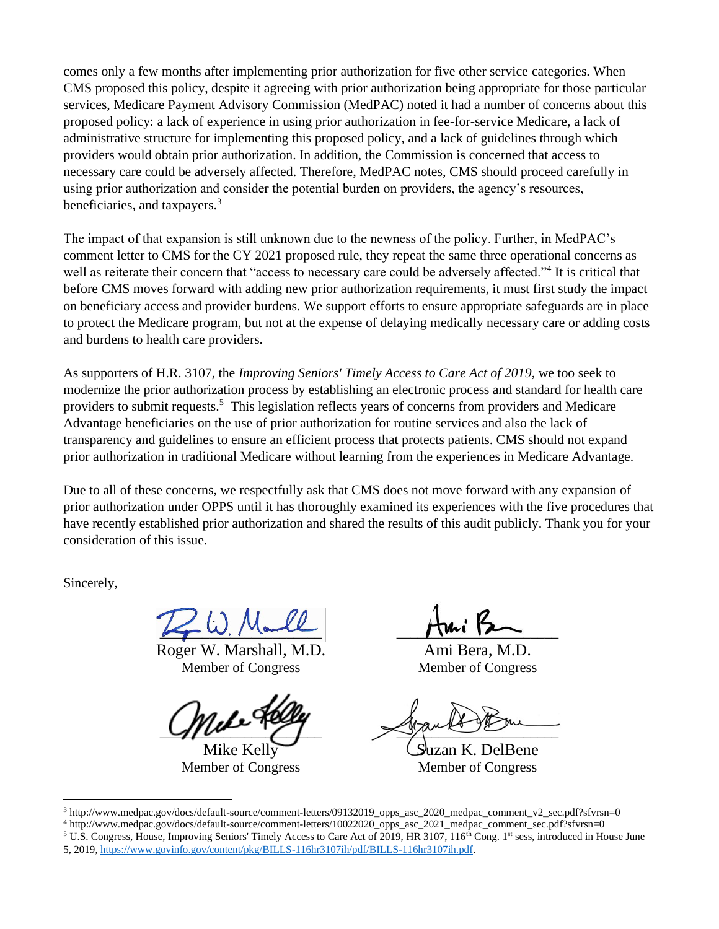comes only a few months after implementing prior authorization for five other service categories. When CMS proposed this policy, despite it agreeing with prior authorization being appropriate for those particular services, Medicare Payment Advisory Commission (MedPAC) noted it had a number of concerns about this proposed policy: a lack of experience in using prior authorization in fee-for-service Medicare, a lack of administrative structure for implementing this proposed policy, and a lack of guidelines through which providers would obtain prior authorization. In addition, the Commission is concerned that access to necessary care could be adversely affected. Therefore, MedPAC notes, CMS should proceed carefully in using prior authorization and consider the potential burden on providers, the agency's resources, beneficiaries, and taxpayers.<sup>3</sup>

The impact of that expansion is still unknown due to the newness of the policy. Further, in MedPAC's comment letter to CMS for the CY 2021 proposed rule, they repeat the same three operational concerns as well as reiterate their concern that "access to necessary care could be adversely affected."<sup>4</sup> It is critical that before CMS moves forward with adding new prior authorization requirements, it must first study the impact on beneficiary access and provider burdens. We support efforts to ensure appropriate safeguards are in place to protect the Medicare program, but not at the expense of delaying medically necessary care or adding costs and burdens to health care providers.

As supporters of H.R. 3107, the *Improving Seniors' Timely Access to Care Act of 2019*, we too seek to modernize the prior authorization process by establishing an electronic process and standard for health care providers to submit requests.<sup>5</sup> This legislation reflects years of concerns from providers and Medicare Advantage beneficiaries on the use of prior authorization for routine services and also the lack of transparency and guidelines to ensure an efficient process that protects patients. CMS should not expand prior authorization in traditional Medicare without learning from the experiences in Medicare Advantage.

Due to all of these concerns, we respectfully ask that CMS does not move forward with any expansion of prior authorization under OPPS until it has thoroughly examined its experiences with the five procedures that have recently established prior authorization and shared the results of this audit publicly. Thank you for your consideration of this issue.

Sincerely,

 $K_p(w, \rho)$  and

Roger W. Marshall, M.D. Member of Congress

 $Q\mu$   $\mu$   $($ 

Mike Kelly Member of Congress

 $\sqrt{m_1 \mu_2}$ 

Ami Bera, M.D. Member of Congress

 $\leq$ 

Suzan K. DelBene Member of Congress

<sup>4</sup> http://www.medpac.gov/docs/default-source/comment-letters/10022020\_opps\_asc\_2021\_medpac\_comment\_sec.pdf?sfvrsn=0

<sup>3</sup> http://www.medpac.gov/docs/default-source/comment-letters/09132019\_opps\_asc\_2020\_medpac\_comment\_v2\_sec.pdf?sfvrsn=0

<sup>&</sup>lt;sup>5</sup> U.S. Congress, House, Improving Seniors' Timely Access to Care Act of 2019, HR 3107, 116<sup>th</sup> Cong. 1<sup>st</sup> sess, introduced in House June

<sup>5, 2019</sup>[, https://www.govinfo.gov/content/pkg/BILLS-116hr3107ih/pdf/BILLS-116hr3107ih.pdf.](https://www.govinfo.gov/content/pkg/BILLS-116hr3107ih/pdf/BILLS-116hr3107ih.pdf)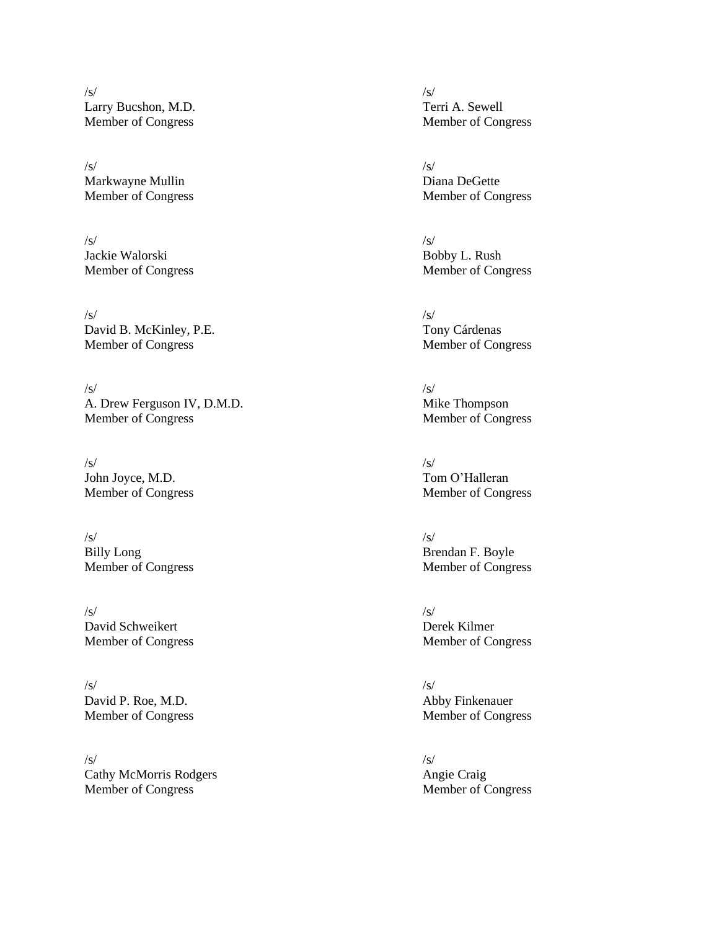$\sqrt{s}/\sqrt{s}$ Larry Bucshon, M.D. Terri A. Sewell

 $\sqrt{s}/\sqrt{s}$ Markwayne Mullin Diana DeGette

 $\sqrt{s}/\sqrt{s}$ Jackie Walorski Bobby L. Rush

 $\sqrt{s}/\sqrt{s}$ David B. McKinley, P.E. Tony Cárdenas Member of Congress Member of Congress

 $\sqrt{s}/\sqrt{s}$ A. Drew Ferguson IV, D.M.D. Mike Thompson Member of Congress Member of Congress

 $\sqrt{s}/\sqrt{s}$ John Joyce, M.D. Tom O'Halleran

 $\sqrt{s}/\sqrt{s}$ Billy Long<br>
Member of Congress<br>
Member of Congress<br>
Member of Congress<br>
Member of Congress

 $\sqrt{s}/\sqrt{s}$ David Schweikert Derek Kilmer

 $\sqrt{s}/\sqrt{s}$ David P. Roe, M.D. Abby Finkenauer Member of Congress Member of Congress

 $\sqrt{s}/\sqrt{s}$ Cathy McMorris Rodgers Angie Craig<br>
Member of Congress Angie Craig<br>
Member of C

Member of Congress Member of Congress

Member of Congress Member of Congress

Member of Congress Member of Congress

Member of Congress Member of Congress

Member of Congress

Member of Congress Member of Congress

Member of Congress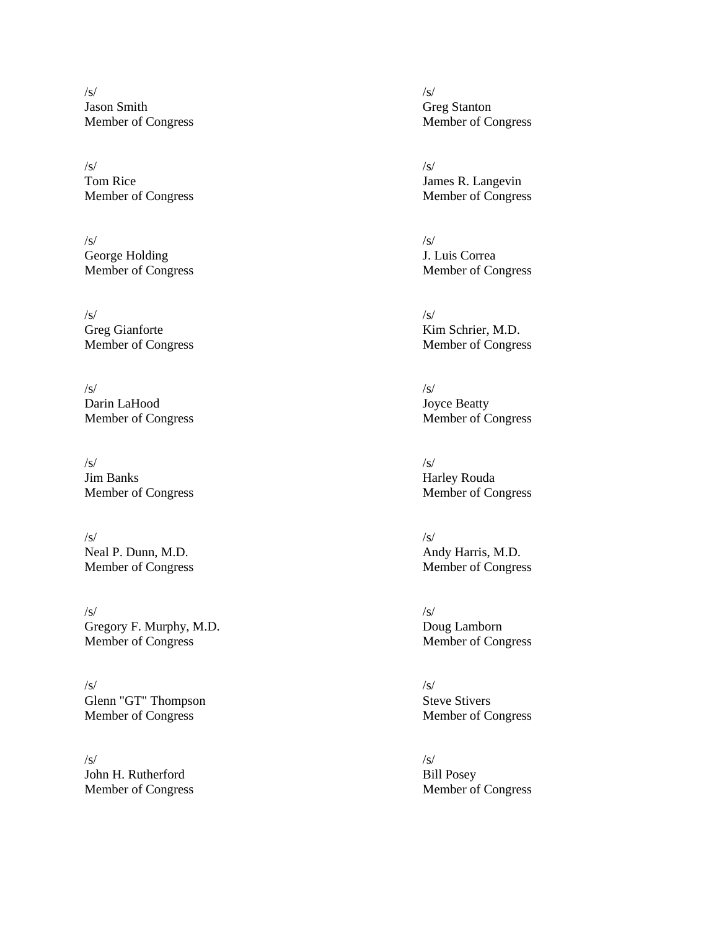$\sqrt{s}/\sqrt{s}$ Jason Smith Greg Stanton

 $\sqrt{s}/\sqrt{s}$ Tom Rice James R. Langevin

 $\sqrt{s}/\sqrt{s}$ George Holding J. Luis Correa

 $\sqrt{s}/\sqrt{s}$ Greg Gianforte Kim Schrier, M.D.

 $\sqrt{s}/\sqrt{s}$ Darin LaHood Joyce Beatty Member of Congress Member of Congress

 $\sqrt{s}/\sqrt{s}$ **Jim Banks** Harley Rouda

 $\sqrt{s}/\sqrt{s}$ Neal P. Dunn, M.D. **Andy Harris, M.D.** Andy Harris, M.D.

 $\sqrt{s}/\sqrt{s}$ Gregory F. Murphy, M.D. Doug Lamborn Member of Congress Member of Congress

 $\sqrt{s}/\sqrt{s}$ Glenn "GT" Thompson Steve Stivers Member of Congress Member of Congress

 $\sqrt{s}/\sqrt{s}$ John H. Rutherford Bill Posey Member of Congress Member of Congress

Member of Congress Member of Congress

Member of Congress Member of Congress

Member of Congress Member of Congress

Member of Congress Member of Congress

Member of Congress Member of Congress

Member of Congress Member of Congress